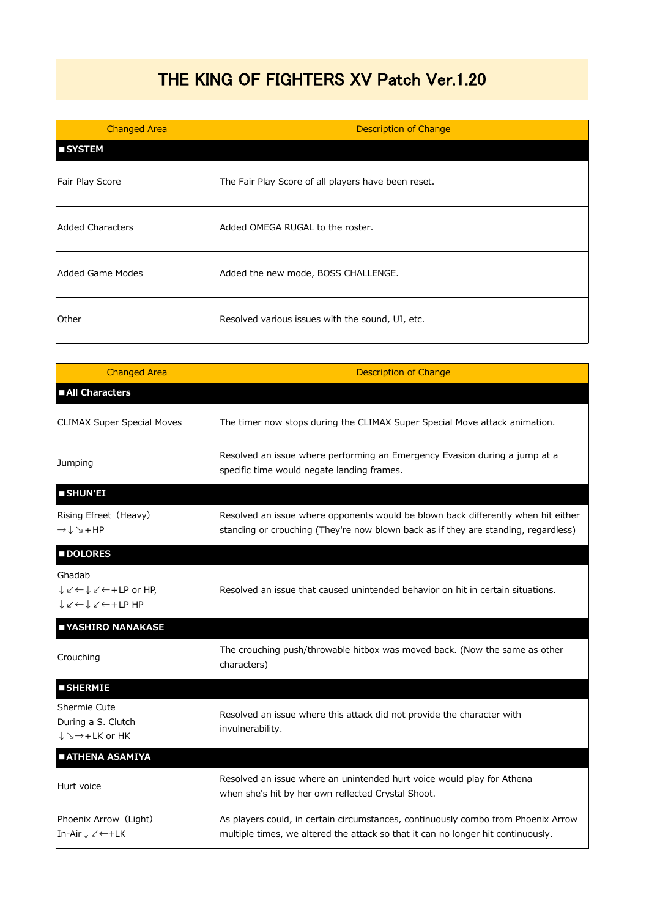## THE KING OF FIGHTERS XV Patch Ver.1.20

| <b>Changed Area</b> | <b>Description of Change</b>                        |
|---------------------|-----------------------------------------------------|
| <b>SYSTEM</b>       |                                                     |
| Fair Play Score     | The Fair Play Score of all players have been reset. |
| Added Characters    | Added OMEGA RUGAL to the roster.                    |
| Added Game Modes    | Added the new mode, BOSS CHALLENGE.                 |
| l Other             | Resolved various issues with the sound, UI, etc.    |

| <b>Changed Area</b>                                                                                                                            | <b>Description of Change</b>                                                                                                                                            |
|------------------------------------------------------------------------------------------------------------------------------------------------|-------------------------------------------------------------------------------------------------------------------------------------------------------------------------|
| All Characters                                                                                                                                 |                                                                                                                                                                         |
| <b>CLIMAX Super Special Moves</b>                                                                                                              | The timer now stops during the CLIMAX Super Special Move attack animation.                                                                                              |
| Jumping                                                                                                                                        | Resolved an issue where performing an Emergency Evasion during a jump at a<br>specific time would negate landing frames.                                                |
| <b>SHUN'EI</b>                                                                                                                                 |                                                                                                                                                                         |
| Rising Efreet (Heavy)<br>$\rightarrow \mathop{\downarrow} \mathop{\searrow} + \mathop{\mathsf{HP}}$                                            | Resolved an issue where opponents would be blown back differently when hit either<br>standing or crouching (They're now blown back as if they are standing, regardless) |
| <b>DOLORES</b>                                                                                                                                 |                                                                                                                                                                         |
| Ghadab<br>$\downarrow \swarrow \leftarrow \downarrow \swarrow \leftarrow + LP$ or HP,<br>$V \swarrow V \leftrightarrow V \leftrightarrow V$ HP | Resolved an issue that caused unintended behavior on hit in certain situations.                                                                                         |
| YASHIRO NANAKASE                                                                                                                               |                                                                                                                                                                         |
| Crouching                                                                                                                                      | The crouching push/throwable hitbox was moved back. (Now the same as other<br>characters)                                                                               |
| <b>SHERMIE</b>                                                                                                                                 |                                                                                                                                                                         |
| Shermie Cute<br>During a S. Clutch<br>$\downarrow$ $\rightarrow$ $\rightarrow$ + LK or HK                                                      | Resolved an issue where this attack did not provide the character with<br>invulnerability.                                                                              |
| <b>ATHENA ASAMIYA</b>                                                                                                                          |                                                                                                                                                                         |
| Hurt voice                                                                                                                                     | Resolved an issue where an unintended hurt voice would play for Athena<br>when she's hit by her own reflected Crystal Shoot.                                            |
| Phoenix Arrow (Light)<br>In-Air↓∠←+LK                                                                                                          | As players could, in certain circumstances, continuously combo from Phoenix Arrow<br>multiple times, we altered the attack so that it can no longer hit continuously.   |